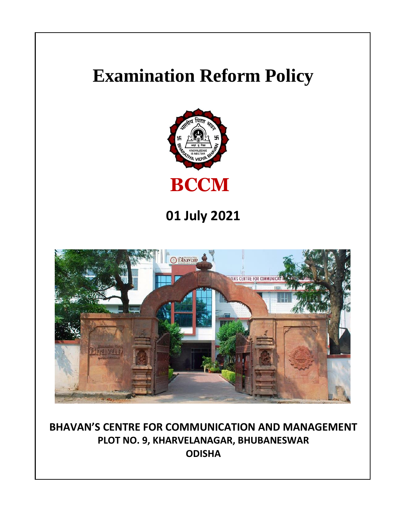# **Examination Reform Policy**



**01 July 2021**



**BHAVAN'S CENTRE FOR COMMUNICATION AND MANAGEMENT PLOT NO. 9, KHARVELANAGAR, BHUBANESWAR ODISHA**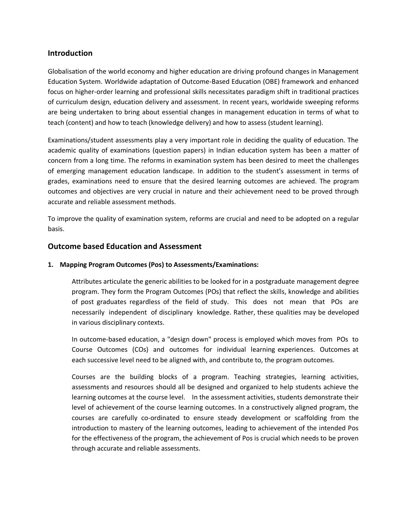# **Introduction**

Globalisation of the world economy and higher education are driving profound changes in Management Education System. Worldwide adaptation of Outcome-Based Education (OBE) framework and enhanced focus on higher-order learning and professional skills necessitates paradigm shift in traditional practices of curriculum design, education delivery and assessment. In recent years, worldwide sweeping reforms are being undertaken to bring about essential changes in management education in terms of what to teach (content) and how to teach (knowledge delivery) and how to assess (student learning).

Examinations/student assessments play a very important role in deciding the quality of education. The academic quality of examinations (question papers) in Indian education system has been a matter of concern from a long time. The reforms in examination system has been desired to meet the challenges of emerging management education landscape. In addition to the student's assessment in terms of grades, examinations need to ensure that the desired learning outcomes are achieved. The program outcomes and objectives are very crucial in nature and their achievement need to be proved through accurate and reliable assessment methods.

To improve the quality of examination system, reforms are crucial and need to be adopted on a regular basis.

# **Outcome based Education and Assessment**

## **1. Mapping Program Outcomes (Pos) to Assessments/Examinations:**

Attributes articulate the generic abilities to be looked for in a postgraduate management degree program. They form the Program Outcomes (POs) that reflect the skills, knowledge and abilities of post graduates regardless of the field of study. This does not mean that POs are necessarily independent of disciplinary knowledge. Rather, these qualities may be developed in various disciplinary contexts.

In outcome-based education, a "design down" process is employed which moves from POs to Course Outcomes (COs) and outcomes for individual learning experiences. Outcomes at each successive level need to be aligned with, and contribute to, the program outcomes.

Courses are the building blocks of a program. Teaching strategies, learning activities, assessments and resources should all be designed and organized to help students achieve the learning outcomes at the course level. In the assessment activities, students demonstrate their level of achievement of the course learning outcomes. In a constructively aligned program, the courses are carefully co-ordinated to ensure steady development or scaffolding from the introduction to mastery of the learning outcomes, leading to achievement of the intended Pos for the effectiveness of the program, the achievement of Pos is crucial which needs to be proven through accurate and reliable assessments.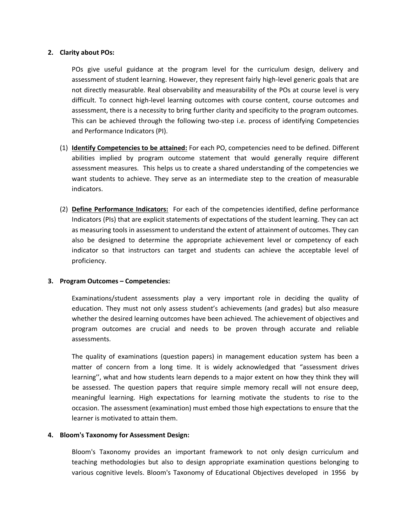#### **2. Clarity about POs:**

POs give useful guidance at the program level for the curriculum design, delivery and assessment of student learning. However, they represent fairly high-level generic goals that are not directly measurable. Real observability and measurability of the POs at course level is very difficult. To connect high-level learning outcomes with course content, course outcomes and assessment, there is a necessity to bring further clarity and specificity to the program outcomes. This can be achieved through the following two-step i.e. process of identifying Competencies and Performance Indicators (PI).

- (1) **Identify Competencies to be attained:** For each PO, competencies need to be defined. Different abilities implied by program outcome statement that would generally require different assessment measures. This helps us to create a shared understanding of the competencies we want students to achieve. They serve as an intermediate step to the creation of measurable indicators.
- (2) **Define Performance Indicators:** For each of the competencies identified, define performance Indicators (PIs) that are explicit statements of expectations of the student learning. They can act as measuring tools in assessment to understand the extent of attainment of outcomes. They can also be designed to determine the appropriate achievement level or competency of each indicator so that instructors can target and students can achieve the acceptable level of proficiency.

### **3. Program Outcomes – Competencies:**

Examinations/student assessments play a very important role in deciding the quality of education. They must not only assess student's achievements (and grades) but also measure whether the desired learning outcomes have been achieved. The achievement of objectives and program outcomes are crucial and needs to be proven through accurate and reliable assessments.

The quality of examinations (question papers) in management education system has been a matter of concern from a long time. It is widely acknowledged that "assessment drives learning'', what and how students learn depends to a major extent on how they think they will be assessed. The question papers that require simple memory recall will not ensure deep, meaningful learning. High expectations for learning motivate the students to rise to the occasion. The assessment (examination) must embed those high expectations to ensure that the learner is motivated to attain them.

#### **4. Bloom's Taxonomy for Assessment Design:**

Bloom's Taxonomy provides an important framework to not only design curriculum and teaching methodologies but also to design appropriate examination questions belonging to various cognitive levels. Bloom's Taxonomy of Educational Objectives developed in 1956 by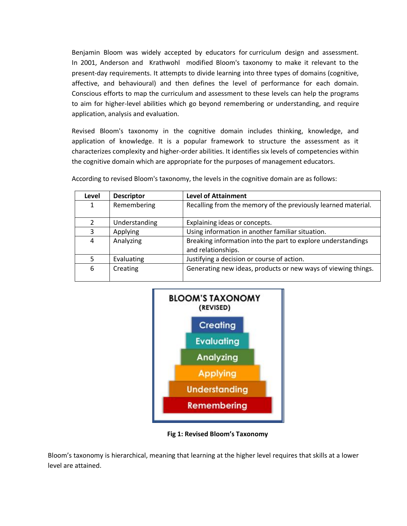Benjamin Bloom was widely accepted by educators for curriculum design and assessment. In 2001, Anderson and Krathwohl modified Bloom's taxonomy to make it relevant to the present-day requirements. It attempts to divide learning into three types of domains (cognitive, affective, and behavioural) and then defines the level of performance for each domain. Conscious efforts to map the curriculum and assessment to these levels can help the programs to aim for higher-level abilities which go beyond remembering or understanding, and require application, analysis and evaluation.

Revised Bloom's taxonomy in the cognitive domain includes thinking, knowledge, and application of knowledge. It is a popular framework to structure the assessment as it characterizes complexity and higher-order abilities. It identifies six levels of competencies within the cognitive domain which are appropriate for the purposes of management educators.

| Level | <b>Descriptor</b> | <b>Level of Attainment</b>                                                         |
|-------|-------------------|------------------------------------------------------------------------------------|
| 1     | Remembering       | Recalling from the memory of the previously learned material.                      |
| 2     | Understanding     | Explaining ideas or concepts.                                                      |
| 3     | Applying          | Using information in another familiar situation.                                   |
| 4     | Analyzing         | Breaking information into the part to explore understandings<br>and relationships. |
| 5     | Evaluating        | Justifying a decision or course of action.                                         |
| 6     | Creating          | Generating new ideas, products or new ways of viewing things.                      |

According to revised Bloom's taxonomy, the levels in the cognitive domain are as follows:



**Fig 1: Revised Bloom's Taxonomy**

Bloom's taxonomy is hierarchical, meaning that learning at the higher level requires that skills at a lower level are attained.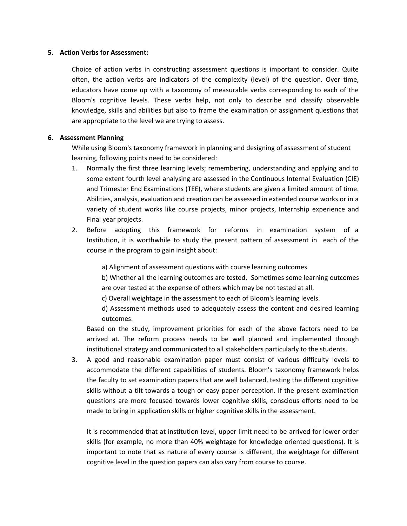#### **5. Action Verbs for Assessment:**

Choice of action verbs in constructing assessment questions is important to consider. Quite often, the action verbs are indicators of the complexity (level) of the question. Over time, educators have come up with a taxonomy of measurable verbs corresponding to each of the Bloom's cognitive levels. These verbs help, not only to describe and classify observable knowledge, skills and abilities but also to frame the examination or assignment questions that are appropriate to the level we are trying to assess.

#### **6. Assessment Planning**

While using Bloom's taxonomy framework in planning and designing of assessment of student learning, following points need to be considered:

- 1. Normally the first three learning levels; remembering, understanding and applying and to some extent fourth level analysing are assessed in the Continuous Internal Evaluation (CIE) and Trimester End Examinations (TEE), where students are given a limited amount of time. Abilities, analysis, evaluation and creation can be assessed in extended course works or in a variety of student works like course projects, minor projects, Internship experience and Final year projects.
- 2. Before adopting this framework for reforms in examination system of a Institution, it is worthwhile to study the present pattern of assessment in each of the course in the program to gain insight about:
	- a) Alignment of assessment questions with course learning outcomes

b) Whether all the learning outcomes are tested. Sometimes some learning outcomes are over tested at the expense of others which may be not tested at all.

c) Overall weightage in the assessment to each of Bloom's learning levels.

d) Assessment methods used to adequately assess the content and desired learning outcomes.

Based on the study, improvement priorities for each of the above factors need to be arrived at. The reform process needs to be well planned and implemented through institutional strategy and communicated to all stakeholders particularly to the students.

3. A good and reasonable examination paper must consist of various difficulty levels to accommodate the different capabilities of students. Bloom's taxonomy framework helps the faculty to set examination papers that are well balanced, testing the different cognitive skills without a tilt towards a tough or easy paper perception. If the present examination questions are more focused towards lower cognitive skills, conscious efforts need to be made to bring in application skills or higher cognitive skills in the assessment.

It is recommended that at institution level, upper limit need to be arrived for lower order skills (for example, no more than 40% weightage for knowledge oriented questions). It is important to note that as nature of every course is different, the weightage for different cognitive level in the question papers can also vary from course to course.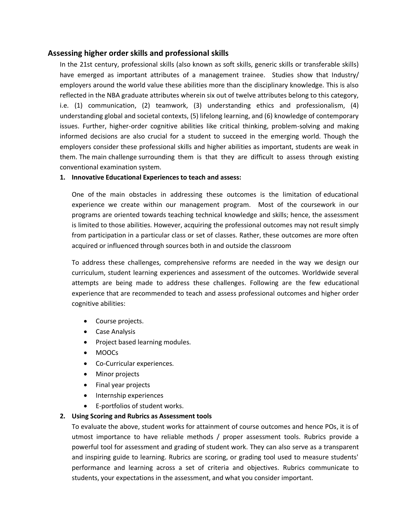## **Assessing higher order skills and professional skills**

In the 21st century, professional skills (also known as soft skills, generic skills or transferable skills) have emerged as important attributes of a management trainee. Studies show that Industry/ employers around the world value these abilities more than the disciplinary knowledge. This is also reflected in the NBA graduate attributes wherein six out of twelve attributes belong to this category, i.e. (1) communication, (2) teamwork, (3) understanding ethics and professionalism, (4) understanding global and societal contexts, (5) lifelong learning, and (6) knowledge of contemporary issues. Further, higher-order cognitive abilities like critical thinking, problem-solving and making informed decisions are also crucial for a student to succeed in the emerging world. Though the employers consider these professional skills and higher abilities as important, students are weak in them. The main challenge surrounding them is that they are difficult to assess through existing conventional examination system.

#### **1. Innovative Educational Experiences to teach and assess:**

One of the main obstacles in addressing these outcomes is the limitation of educational experience we create within our management program. Most of the coursework in our programs are oriented towards teaching technical knowledge and skills; hence, the assessment is limited to those abilities. However, acquiring the professional outcomes may not result simply from participation in a particular class or set of classes. Rather, these outcomes are more often acquired or influenced through sources both in and outside the classroom

To address these challenges, comprehensive reforms are needed in the way we design our curriculum, student learning experiences and assessment of the outcomes. Worldwide several attempts are being made to address these challenges. Following are the few educational experience that are recommended to teach and assess professional outcomes and higher order cognitive abilities:

- Course projects.
- Case Analysis
- Project based learning modules.
- MOOCs
- Co-Curricular experiences.
- Minor projects
- Final year projects
- Internship experiences
- E-portfolios of student works.

### **2. Using Scoring and Rubrics as Assessment tools**

To evaluate the above, student works for attainment of course outcomes and hence POs, it is of utmost importance to have reliable methods / proper assessment tools. Rubrics provide a powerful tool for assessment and grading of student work. They can also serve as a transparent and inspiring guide to learning. Rubrics are scoring, or grading tool used to measure students' performance and learning across a set of criteria and objectives. Rubrics communicate to students, your expectations in the assessment, and what you consider important.